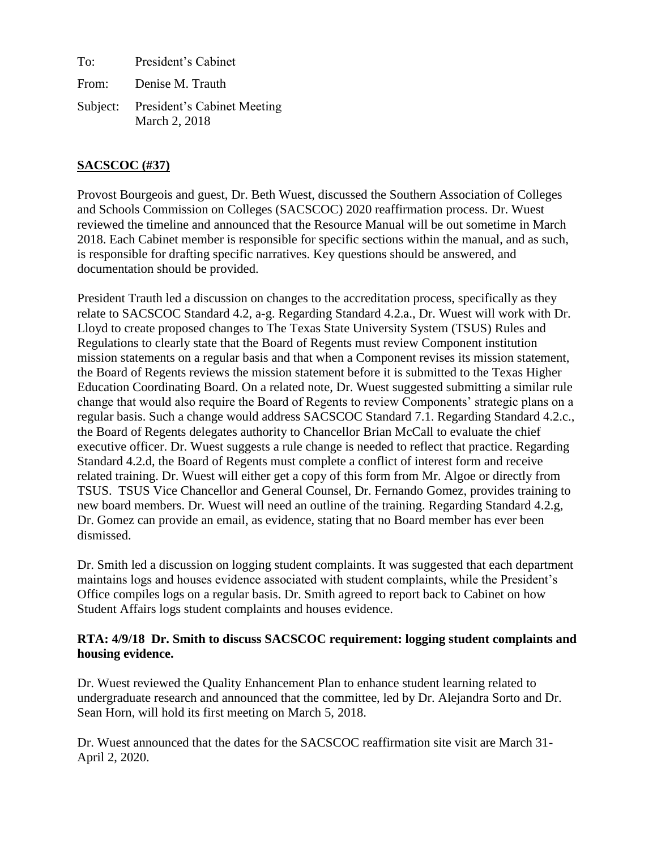To: President's Cabinet From: Denise M. Trauth Subject: President's Cabinet Meeting March 2, 2018

# **SACSCOC (#37)**

Provost Bourgeois and guest, Dr. Beth Wuest, discussed the Southern Association of Colleges and Schools Commission on Colleges (SACSCOC) 2020 reaffirmation process. Dr. Wuest reviewed the timeline and announced that the Resource Manual will be out sometime in March 2018. Each Cabinet member is responsible for specific sections within the manual, and as such, is responsible for drafting specific narratives. Key questions should be answered, and documentation should be provided.

President Trauth led a discussion on changes to the accreditation process, specifically as they relate to SACSCOC Standard 4.2, a-g. Regarding Standard 4.2.a., Dr. Wuest will work with Dr. Lloyd to create proposed changes to The Texas State University System (TSUS) Rules and Regulations to clearly state that the Board of Regents must review Component institution mission statements on a regular basis and that when a Component revises its mission statement, the Board of Regents reviews the mission statement before it is submitted to the Texas Higher Education Coordinating Board. On a related note, Dr. Wuest suggested submitting a similar rule change that would also require the Board of Regents to review Components' strategic plans on a regular basis. Such a change would address SACSCOC Standard 7.1. Regarding Standard 4.2.c., the Board of Regents delegates authority to Chancellor Brian McCall to evaluate the chief executive officer. Dr. Wuest suggests a rule change is needed to reflect that practice. Regarding Standard 4.2.d, the Board of Regents must complete a conflict of interest form and receive related training. Dr. Wuest will either get a copy of this form from Mr. Algoe or directly from TSUS. TSUS Vice Chancellor and General Counsel, Dr. Fernando Gomez, provides training to new board members. Dr. Wuest will need an outline of the training. Regarding Standard 4.2.g, Dr. Gomez can provide an email, as evidence, stating that no Board member has ever been dismissed.

Dr. Smith led a discussion on logging student complaints. It was suggested that each department maintains logs and houses evidence associated with student complaints, while the President's Office compiles logs on a regular basis. Dr. Smith agreed to report back to Cabinet on how Student Affairs logs student complaints and houses evidence.

### **RTA: 4/9/18 Dr. Smith to discuss SACSCOC requirement: logging student complaints and housing evidence.**

Dr. Wuest reviewed the Quality Enhancement Plan to enhance student learning related to undergraduate research and announced that the committee, led by Dr. Alejandra Sorto and Dr. Sean Horn, will hold its first meeting on March 5, 2018.

Dr. Wuest announced that the dates for the SACSCOC reaffirmation site visit are March 31- April 2, 2020.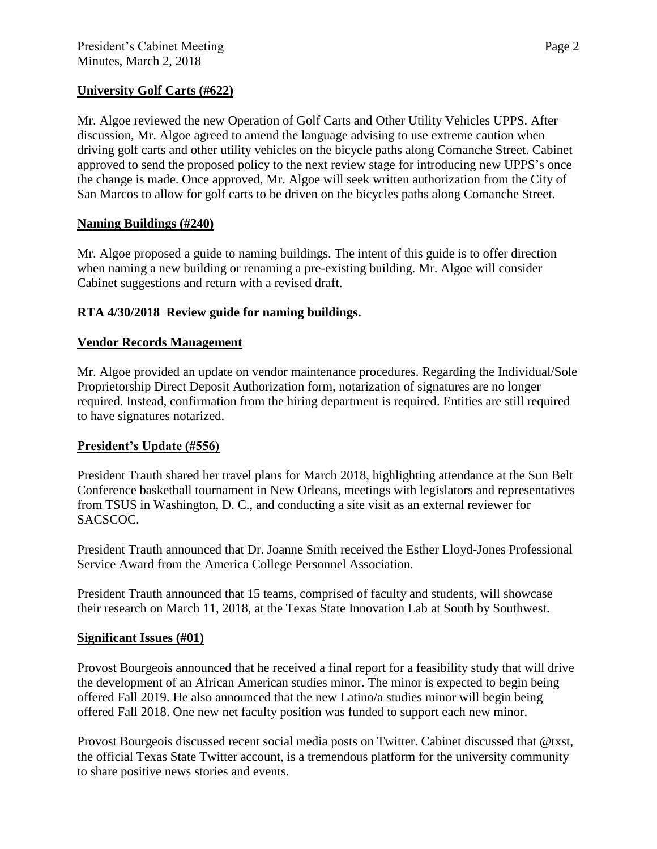## **University Golf Carts (#622)**

Mr. Algoe reviewed the new Operation of Golf Carts and Other Utility Vehicles UPPS. After discussion, Mr. Algoe agreed to amend the language advising to use extreme caution when driving golf carts and other utility vehicles on the bicycle paths along Comanche Street. Cabinet approved to send the proposed policy to the next review stage for introducing new UPPS's once the change is made. Once approved, Mr. Algoe will seek written authorization from the City of San Marcos to allow for golf carts to be driven on the bicycles paths along Comanche Street.

## **Naming Buildings (#240)**

Mr. Algoe proposed a guide to naming buildings. The intent of this guide is to offer direction when naming a new building or renaming a pre-existing building. Mr. Algoe will consider Cabinet suggestions and return with a revised draft.

## **RTA 4/30/2018 Review guide for naming buildings.**

### **Vendor Records Management**

Mr. Algoe provided an update on vendor maintenance procedures. Regarding the Individual/Sole Proprietorship Direct Deposit Authorization form, notarization of signatures are no longer required. Instead, confirmation from the hiring department is required. Entities are still required to have signatures notarized.

### **President's Update (#556)**

President Trauth shared her travel plans for March 2018, highlighting attendance at the Sun Belt Conference basketball tournament in New Orleans, meetings with legislators and representatives from TSUS in Washington, D. C., and conducting a site visit as an external reviewer for SACSCOC.

President Trauth announced that Dr. Joanne Smith received the Esther Lloyd-Jones Professional Service Award from the America College Personnel Association.

President Trauth announced that 15 teams, comprised of faculty and students, will showcase their research on March 11, 2018, at the Texas State Innovation Lab at South by Southwest.

### **Significant Issues (#01)**

Provost Bourgeois announced that he received a final report for a feasibility study that will drive the development of an African American studies minor. The minor is expected to begin being offered Fall 2019. He also announced that the new Latino/a studies minor will begin being offered Fall 2018. One new net faculty position was funded to support each new minor.

Provost Bourgeois discussed recent social media posts on Twitter. Cabinet discussed that @txst, the official Texas State Twitter account, is a tremendous platform for the university community to share positive news stories and events.